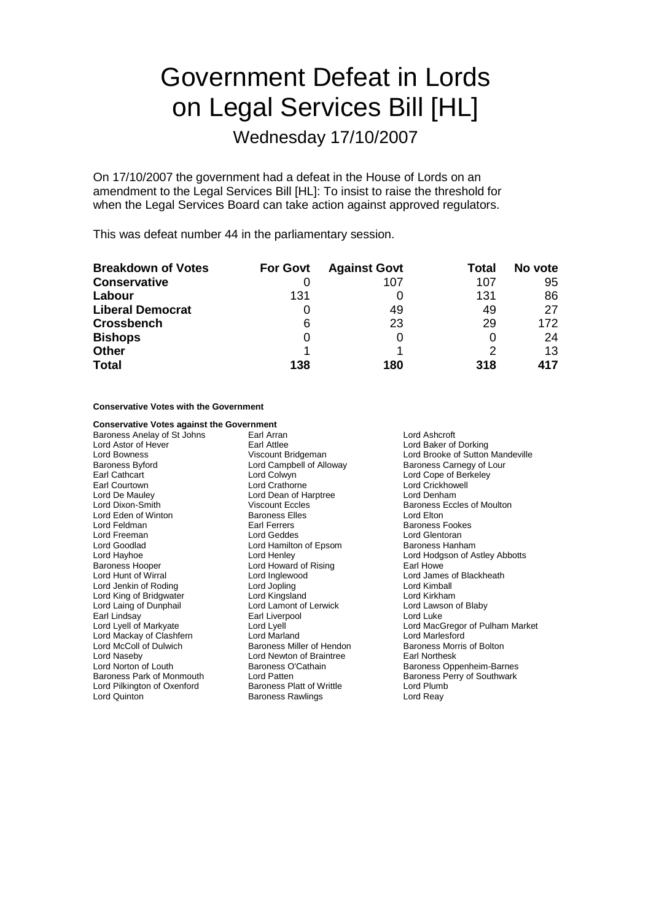# Government Defeat in Lords on Legal Services Bill [HL]

Wednesday 17/10/2007

On 17/10/2007 the government had a defeat in the House of Lords on an amendment to the Legal Services Bill [HL]: To insist to raise the threshold for when the Legal Services Board can take action against approved regulators.

This was defeat number 44 in the parliamentary session.

| <b>Breakdown of Votes</b> | <b>For Govt</b> | <b>Against Govt</b> | Total | No vote |
|---------------------------|-----------------|---------------------|-------|---------|
| <b>Conservative</b>       |                 | 107                 | 107   | 95      |
| Labour                    | 131             |                     | 131   | 86      |
| <b>Liberal Democrat</b>   |                 | 49                  | 49    | 27      |
| <b>Crossbench</b>         | 6               | 23                  | 29    | 172     |
| <b>Bishops</b>            |                 |                     |       | 24      |
| <b>Other</b>              |                 |                     |       | 13      |
| <b>Total</b>              | 138             | 180                 | 318   | 417     |

# **Conservative Votes with the Government**

# **Conservative Votes against the Government**

Baroness Anelay of St Johns Earl Arran Lord Ashcroft Lord Astor of Hever **Earl Attlee** Earl Attlee **Earl Attlee** Lord Baker of Dorking<br>
Lord Bowness Corporation Control Corporation Corporation Corporation Corporation Corporation Corporation Corpor<br>
Lord Brooke of Sutton Corp Baroness Byford **Lord Campbell of Alloway** Baroness Carnegy of Lour Earl Cathcart Lord Colwyn Lord Cope of Berkeley Earl Courtown Lord Crathorne Lord Crickhowell Lord De Mauley **Lord Dean of Harptree Lord Dixon-Smith Lord Dean of Harptree** Viscount Eccles Lord Eden of Winton **Baroness Elles** Lord Elton Lord Elton Lord Elton Lord Elton Lord Elton Baroness Lord Feldman **Earl Ferrers** Earl Ferrers Baroness Fookes<br> **Earl Ferrers** Baroness Fookes<br> **Earl Ferrers** Baroness Fookes Lord Goodlad Lord Hamilton of Epsom Baroness Hanham Baroness Hooper Lord Howard of Rising<br>
Lord Hunt of Wirral Lord Inglewood Lord Jenkin of Roding Lord Jopling Lord Kimball Lord King of Bridgwater Lord Kingsland Lord Kirkham Earl Lindsay **Earl Liverpool** Earl Liverpool **Lord Luke** Lord Mackay of Clashfern Lord Marland Lord Marlesford Lord McColl of Dulwich **Baroness Miller of Hendon** Baroness Morris of Bolton Lord Naseby **Lord Newton of Braintree** Earl Northesk<br>
Lord Norton of Louth **Baroness O'Cathain** Baroness Operation Baroness Operation Lord Norton of Louth Baroness O'Cathain Baroness Oppenheim-Barnes Lord Pilkington of Oxenford Lord Quinton **Contact Contact Contact Contact Contact Contact Contact Contact Contact Contact Contact Contact Contact Contact Contact Contact Contact Contact Contact Contact Contact Contact Contact Contact Contact Contact** 

Lord Geddes **Lord Glentoran** Lord Lamont of Lerwick

Lord Brooke of Sutton Mandeville Viscount Eccles **Baroness Eccles of Moulton** Lord Hayhoe **Lord Henley** Lord Henley **Lord Hotal Lord Hodgson of Astley Abbotts**<br> **Baroness Hooper Lord Howard of Rising Corporation Care Howe** Larl Howe Lord Inglewood **Lord James of Blackheath** Lord Lyell of Markyate Lord Lyell Lord MacGregor of Pulham Market Lord Patten **Baroness Perry of Southwark Baroness Platter Baroness Perry of Southwark**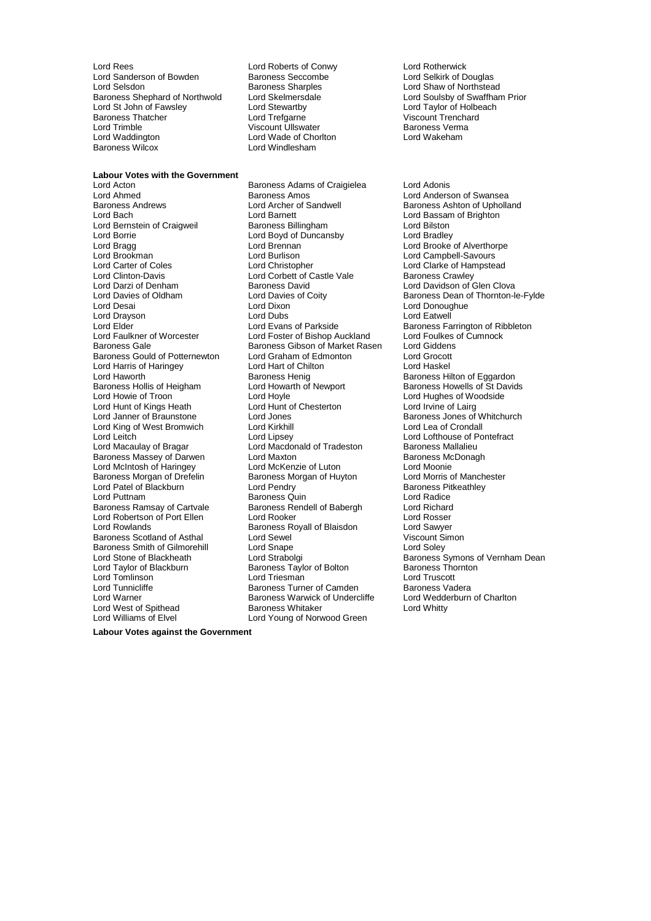Lord Rees Lord Roberts of Conwy Lord Rotherwick Lord Sanderson of Bowden Baroness Seccomb<br>Lord Selsdon Baroness Sharples Lord Selsdon **Baroness Sharples** Lord Shaw of Northstead<br>
Baroness Shephard of Northwold Lord Skelmersdale Lord Soulsby of Swaffham Lord St John of Fawsley Lord Stewartby<br>
Baroness Thatcher Lord Trefoarne er Baroness Thatcher Lord Trefgarne Mission and Viscount Trenchard<br>
Lord Trimble Viscount Ullswater Baroness Verma Lord Waddington **Lord Wade of Chorlton Baroness Wilcox**<br> **Lord Windlesham** 

Viscount Ullswater<br>
Lord Wade of Choriton<br>
Lord Wakeham Lord Windlesham

**Labour Votes with the Government**<br>Lord Acton

Lord Bernstein of Craigweil Lord Clinton-Davis **Lord Corbett of Castle Vale**<br>
Lord Darzi of Denham **Baroness David** Lord Harris of Haringey **Lord Hart of Chilton Lord Hart of Chilt**<br>Lord Haworth **Chilton Lord Hart Chilton Baroness Henig** Lord Hunt of Kings Heath Lord King of West Bromwich Lord Kirkhill<br>
Lord Leitch Lord Lipsev Baroness Morgan of Drefelin<br>Lord Patel of Blackburn Baroness Ramsay of Cartvale Baroness Smith of Gilmorehill<br>
Lord Snape<br>
Lord Stone of Blackheath<br>
Lord Strabolgi Lord West of Spithead<br>Lord Williams of Elvel

Baroness Adams of Craigielea Lord Adonis Lord Ahmed **Baroness Amos** Baroness Amos<br>
Baroness Andrews **Lord Archer of Sandwell** Baroness Ashton of Upholla Baroness Andrews **Example 2** Lord Archer of Sandwell **Baroness Ashton of Upholland**<br>Lord Bach Lord Barnett Lord Barnett **Lord Bassam of Brighton** Lord Barnett<br>
Baroness Billingham<br>
Lord Bilston<br>
Lord Bilston Lord Boyd of Duncansby Lord Bradley<br>
Lord Bradge Lord Brennan Lord Brennan Lord Brooke Lord Bragg and Lord Brennan Lord Brennan Lord Brennan Lord Brooke of Alverthorpe<br>
Lord Brookman Lord Burlison Lord Burlison Lord Campbell-Savours Lord Brookman Lord Burlison Lord Campbell-Savours Lord Darzi of Denham Baroness David<br>Lord Davidson of Glen Clova<br>Lord Davies of Oldham Lord Davies of Coity Baroness Dean of Thornton-I Lord Desai **Lord Dixon** Lord Dixon **Lord Dixon** Lord Donoughue<br>
Lord Drayson Lord Dubs Lord Dubs Lord Eatwell Lord Drayson Lord Dubs Lord Eatwell Lord Elder Lord Evans of Parkside Baroness Farrington of Ribbleton<br>
Lord Faulkner of Worcester Lord Foster of Bishop Auckland Lord Foulkes of Cumnock Lord Foster of Bishop Auckland Baroness Gale Baroness Gibson of Market Rasen Lord Giddens<br>Baroness Gould of Potternewton Lord Graham of Edmonton Lord Grocott Baroness Gould of Potternewton Lord Graham of Edmonton Lord Grocott<br>Lord Harris of Haringev Lord Hart of Chilton Lord Haskel Lord Haworth Baroness Henig Baroness Henig<br>Baroness Hollis of Heigham Baroness Henig Baroness Howells of St David Baroness Hollis of Heigham Lord Howarth of Newport Baroness Howells of St Davids<br>
Lord Howie of Troon Lord Hoyle Cord Hovels and Baroness of Woodside Lord Hoyle<br>
Lord Hunt of Chesterton<br>
Lord Irvine of Lairg Lord Hunt of Kings Heath Lord Hunt of Chesterton<br>
Lord Janner of Braunstone Lord Jones Baroness Jones of Whitchurch<br>
Lord King of West Bromwich Lord Kirkhill Lord Lord Lea of Crondall Lord Leitch Lord Lipsey Lord Lofthouse of Pontefract Lord Macdonald of Tradeston Baroness Massey of Darwen Lord Maxton Lord Maxton Baroness McDonagh<br>
Lord McIntosh of Haringey Lord McKenzie of Luton Lord Moonie Lord McIntosh of Haringey **Lord McKenzie of Luton** Lord Moonie<br>
Baroness Morgan of Drefelin Baroness Morgan of Huvton Lord Morris of Manchester Lord Patel of Blackburn Lord Pendry **Communist Communist Patel Baroness Pitkeathley**<br>
Lord Puttnam **Baroness Quin** Baroness Quin Baroness Quin<br>
Baroness Rendell of Babergh 
Baroness Rendell of Babergh

Lord Richard Lord Robertson of Port Ellen Lord Rooker Lord Rosser Lord Rowlands<br>
Baroness Scotland of Asthal **Baroness Royall of Blaisdon** Cord Sawyer<br>
Uiscount Simon Baroness Scotland of Asthal Lord Sewel Communication of Scount Simons Scotland of Asthal Lord Scount Simons Scotland Transmission Communication Communication Communication Communication Communication Communication Communic Baroness Taylor of Bolton Baroness Thornton Baroness Thornton Baroness Thornton Baroness Thornton Baroness Tho<br>Lord Truscott Lord Tomlinson Lord Triesman Lord Truscott Baroness Turner of Camden Baroness Vadera<br>Baroness Warwick of Undercliffe Lord Wedderburn of Charlton Lord Warner **Baroness Warwick of Undercliffe** Lord Wedder<br>Lord West of Spithead **Baroness Whitaker** Lord Whitty Lord Young of Norwood Green

Lord Skelmersdale **Shephard Control Lord Soulsby of Swaffham Prior**<br>
Lord Taylor of Holbeach<br>
Lord Taylor of Holbeach

Lord Clarke of Hampstead<br>Baroness Crawley Baroness Dean of Thornton-le-Fylde Lord Stone of Blackheath Lord Strabolgi Cord Strabolging Baroness Symons of Vernham Dean<br>
Lord Taylor of Blackburn Baroness Taylor of Bolton Baroness Thornton

**Labour Votes against the Government**